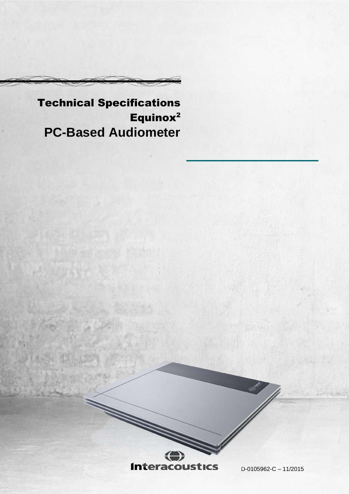Technical Specifications Equinox<sup>2</sup> **PC-Based Audiometer**



▓

D-0105962-C – 11/2015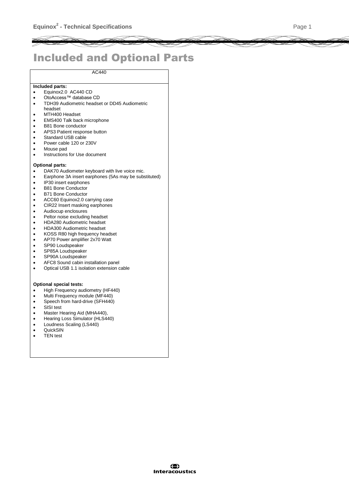# Included and Optional Parts

AC440

### **Included parts:**

- Equinox2.0 AC440 CD
- OtoAccess™ database CD
- TDH39 Audiometric headset or DD45 Audiometric headset
- MTH400 Headset
- EMS400 Talk back microphone
- B81 Bone conductor
- APS3 Patient response button
- Standard USB cable
- Power cable 120 or 230V
- Mouse pad
- Instructions for Use document

#### **Optional parts:**

- DAK70 Audiometer keyboard with live voice mic.
- Earphone 3A insert earphones (5As may be substituted)
- IP30 insert earphones
- B81 Bone Conductor
- B71 Bone Conductor
- ACC60 Equinox2.0 carrying case
- CIR22 Insert masking earphones
- Audiocup enclosures
- Peltor noise excluding headset
- HDA280 Audiometric headset
- HDA300 Audiometric headset
- KOSS R80 high frequency headset
- AP70 Power amplifier 2x70 Watt
- SP90 Loudspeaker
- SP85A Loudspeaker
- SP90A Loudspeaker
- AFC8 Sound cabin installation panel
- Optical USB 1.1 isolation extension cable

#### **Optional special tests:**

- High Frequency audiometry (HF440)
- Multi Frequency module (MF440)
- Speech from hard-drive (SFH440)
- SISI test
- Master Hearing Aid (MHA440),
- Hearing Loss Simulator (HLS440)
- Loudness Scaling (LS440)
- QuickSIN
- TEN test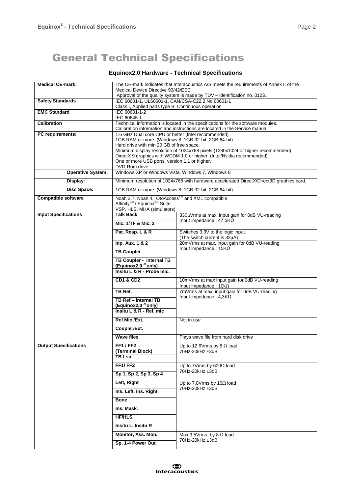## General Technical Specifications

## **Equinox2.0 Hardware - Technical Specifications**

| <b>Medical CE-mark:</b>      | The CE-mark indicates that Interacoustics A/S meets the requirements of Annex II of the                                                                         |                                                                   |  |  |
|------------------------------|-----------------------------------------------------------------------------------------------------------------------------------------------------------------|-------------------------------------------------------------------|--|--|
|                              | Medical Device Directive 93/42/EEC                                                                                                                              |                                                                   |  |  |
| <b>Safety Standards</b>      | Approval of the quality system is made by TÜV - identification no. 0123.<br>IEC 60601-1, UL60601-1, CAN/CSA-C22.2 No.60601-1                                    |                                                                   |  |  |
|                              | Class I, Applied parts type B, Continuous operation                                                                                                             |                                                                   |  |  |
| <b>EMC Standard</b>          | IEC 60601-1-2                                                                                                                                                   |                                                                   |  |  |
|                              | IEC 60645-1                                                                                                                                                     |                                                                   |  |  |
| <b>Calibration</b>           | Technical information is located in the specifications for the software modules.<br>Calibration information and instructions are located in the Service manual. |                                                                   |  |  |
| PC requirements:             | 1.6 GHz Dual core CPU or better (Intel recommended)                                                                                                             |                                                                   |  |  |
|                              | 1GB RAM or more. (Windows 8: 1GB 32-bit; 2GB 64-bit)                                                                                                            |                                                                   |  |  |
|                              | Hard drive with min 20 GB of free space.                                                                                                                        |                                                                   |  |  |
|                              | Minimum display resolution of 1024x768 pixels (1280x1024 or higher recommended)<br>DirectX 9 graphics with WDDM 1.0 or higher. (Intel/Nvidia recommended)       |                                                                   |  |  |
|                              | One or more USB ports, version 1.1 or higher.                                                                                                                   |                                                                   |  |  |
|                              | DVD-Rom drive.                                                                                                                                                  |                                                                   |  |  |
| <b>Operative System:</b>     | Windows XP or Windows Vista, Windows 7, Windows 8                                                                                                               |                                                                   |  |  |
| Display:                     | Minimum resolution of 1024x768 with hardware accelerated DirectX/Direct3D graphics card.                                                                        |                                                                   |  |  |
| Disc Space:                  | 1GB RAM or more. (Windows 8: 1GB 32-bit; 2GB 64-bit)                                                                                                            |                                                                   |  |  |
| <b>Compatible software</b>   | Noah 3.7, Noah 4,, OtoAccess™ and XML compatible                                                                                                                |                                                                   |  |  |
|                              | Affinity <sup>2.0</sup> / Equinox <sup>2.0</sup> Suite<br>VSP, HLS, MHA (simulators)                                                                            |                                                                   |  |  |
| <b>Input Specifications</b>  | <b>Talk Back</b>                                                                                                                                                | 330µVrms at max. input gain for 0dB VU-reading                    |  |  |
|                              | Mic. 1/TF & Mic. 2                                                                                                                                              | Input impedance: $47.5K\Omega$                                    |  |  |
|                              |                                                                                                                                                                 |                                                                   |  |  |
|                              | Pat. Resp. L & R                                                                                                                                                | Switches 3.3V to the logic input.<br>(The switch current is 33µA) |  |  |
|                              | Inp. Aux. 1 & 2                                                                                                                                                 | 20mVrms at max. input gain for 0dB VU-reading                     |  |  |
|                              | <b>TB Coupler</b>                                                                                                                                               | Input impedance: $15K\Omega$                                      |  |  |
|                              | TB Coupler - internal TB                                                                                                                                        |                                                                   |  |  |
|                              | (Equinox2.0 <sup>.0</sup> only)                                                                                                                                 |                                                                   |  |  |
|                              | Insitu L & R - Probe mic.                                                                                                                                       |                                                                   |  |  |
|                              | <b>CD1 &amp; CD2</b>                                                                                                                                            | 10mVrms at max input gain for 0dB VU-reading                      |  |  |
|                              |                                                                                                                                                                 | Input impedance: $10k\Omega$                                      |  |  |
|                              | TB Ref.                                                                                                                                                         | 7mVrms at max. input gain for 0dB VU-reading                      |  |  |
|                              | TB Ref - internal TB                                                                                                                                            | Input impedance: $4,3K\Omega$                                     |  |  |
|                              | (Equinox2.0 <sup>.0</sup> only)<br>Insitu L & R - Ref. mic                                                                                                      |                                                                   |  |  |
|                              | Ref.Mic./Ext.                                                                                                                                                   | Not in use                                                        |  |  |
|                              |                                                                                                                                                                 |                                                                   |  |  |
|                              | Coupler/Ext.                                                                                                                                                    |                                                                   |  |  |
|                              | <b>Wave files</b>                                                                                                                                               | Plays wave file from hard disk drive                              |  |  |
| <b>Output Specifications</b> | <b>FF1/FF2</b>                                                                                                                                                  | Up to 12.6Vrms by 8 $\Omega$ load                                 |  |  |
|                              | (Terminal Block)<br>TB Lsp.                                                                                                                                     | 70Hz-20kHz ±3dB                                                   |  |  |
|                              | FF1/FF2                                                                                                                                                         |                                                                   |  |  |
|                              |                                                                                                                                                                 | Up to 7Vrms by 600 $\Omega$ load<br>70Hz-20kHz ±3dB               |  |  |
|                              | Sp 1, Sp 2, Sp 3, Sp 4                                                                                                                                          |                                                                   |  |  |
|                              | Left, Right                                                                                                                                                     | Up to 7.0Vrms by 10 $\Omega$ load<br>70Hz-20kHz ±3dB              |  |  |
|                              | Ins. Left, Ins. Right                                                                                                                                           |                                                                   |  |  |
|                              | <b>Bone</b>                                                                                                                                                     |                                                                   |  |  |
|                              | Ins. Mask.                                                                                                                                                      |                                                                   |  |  |
|                              | <b>HF/HLS</b>                                                                                                                                                   |                                                                   |  |  |
|                              | Insitu L, Insitu R                                                                                                                                              |                                                                   |  |  |
|                              | Monitor, Ass. Mon.                                                                                                                                              | Max.3.5Vrms. by 8 $\Omega$ load                                   |  |  |
|                              | Sp. 1-4 Power Out                                                                                                                                               | 70Hz-20kHz ±3dB                                                   |  |  |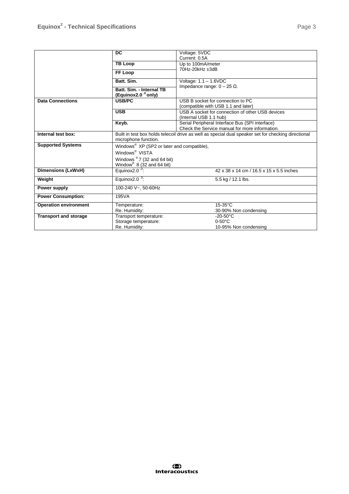|                              | $\overline{DC}$                                                                                     | Voltage: 5VDC                                                  |  |
|------------------------------|-----------------------------------------------------------------------------------------------------|----------------------------------------------------------------|--|
|                              |                                                                                                     | Current: 0.5A                                                  |  |
|                              | <b>TB Loop</b>                                                                                      | Up to 100mA/meter                                              |  |
|                              |                                                                                                     | 70Hz-20kHz ±3dB                                                |  |
|                              | FF Loop                                                                                             | Voltage: $1.1 - 1.6$ VDC<br>Impedance range: $0 - 25 \Omega$ . |  |
|                              | Batt. Sim.                                                                                          |                                                                |  |
|                              | Batt. Sim. - Internal TB                                                                            |                                                                |  |
|                              | (Equinox2.0 <sup>0</sup> only)                                                                      |                                                                |  |
| <b>Data Connections</b>      | <b>USB/PC</b>                                                                                       | USB B socket for connection to PC                              |  |
|                              |                                                                                                     | (compatible with USB 1.1 and later)                            |  |
|                              | <b>USB</b>                                                                                          | USB A socket for connection of other USB devices               |  |
|                              |                                                                                                     | (Internal USB 1.1 hub)                                         |  |
|                              | Keyb.                                                                                               | Serial Peripheral Interface Bus (SPI interface)                |  |
|                              |                                                                                                     | Check the Service manual for more information.                 |  |
| Internal test box:           | Built in test box holds telecoil drive as well as special dual speaker set for checking directional |                                                                |  |
|                              | microphone function.                                                                                |                                                                |  |
| <b>Supported Systems</b>     | Windows <sup>®</sup> XP (SP2 or later and compatible),                                              |                                                                |  |
|                              | Windows <sup>®</sup> VISTA                                                                          |                                                                |  |
|                              | Windows $\mathscr{D}$ 7 (32 and 64 bit)                                                             |                                                                |  |
|                              | Window <sup>®</sup> $8(32 \text{ and } 64 \text{ bit})$                                             |                                                                |  |
| <b>Dimensions (LxWxH)</b>    | Equinox $2.00$ :<br>42 x 38 x 14 cm / 16.5 x 15 x 5.5 inches                                        |                                                                |  |
| Weight                       | Equinox2.0 $\cdot$ <sup>0</sup> :                                                                   | 5.5 kg / 12.1 lbs.                                             |  |
| Power supply                 | 100-240 V~, 50-60Hz                                                                                 |                                                                |  |
| <b>Power Consumption:</b>    | 195VA                                                                                               |                                                                |  |
| <b>Operation environment</b> | Temperature:                                                                                        | $15-35^{\circ}$ C                                              |  |
|                              | Re. Humidity:                                                                                       | 30-90% Non condensing                                          |  |
| <b>Transport and storage</b> | Transport temperature:                                                                              | $-20-50$ °C                                                    |  |
|                              | Storage temperature:                                                                                | $0-50^{\circ}$ C                                               |  |
|                              | Re. Humidity:                                                                                       | 10-95% Non condensing                                          |  |